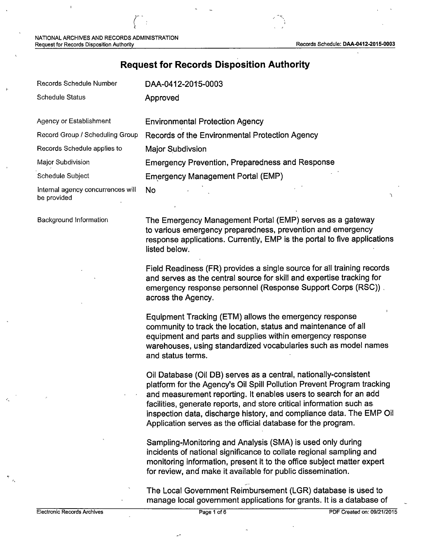#### **Request for Records Disposition Authority**

| Records Schedule Number                          | DAA-0412-2015-0003                                     |
|--------------------------------------------------|--------------------------------------------------------|
| <b>Schedule Status</b>                           | Approved                                               |
| Agency or Establishment                          | <b>Environmental Protection Agency</b>                 |
| Record Group / Scheduling Group                  | Records of the Environmental Protection Agency         |
| Records Schedule applies to                      | <b>Major Subdivsion</b>                                |
| Major Subdivision                                | <b>Emergency Prevention, Preparedness and Response</b> |
| Schedule Subject                                 | <b>Emergency Management Portal (EMP)</b>               |
| Internal agency concurrences will<br>be provided | <b>No</b>                                              |

Background Information

The Emergency Management Portal (EMP) serves as a gateway to various emergency preparedness, prevention and emergency response applications. Currently, EMP is the portal to five applications listed below.

Field Readiness (FR) provides a single source for all training records and serves as the central source for skill and expertise tracking for emergency response personnel (Response Support·Corps (RSC)) . across the Agency.

Equipment Tracking (ETM) allows the emergency response community to track the location, status and maintenance of all equipment and parts and supplies within emergency response warehouses, using standardized vocabularies such as model names and status terms.

Oil Database (Oil DB) serves as a central, nationally-consistent platform for the Agency's Oil Spill Pollution Prevent Program tracking and measurement reporting. It enables users to search for an add facilities, generate reports, and store critical information such as inspection data, discharge history, and compliance data. The EMP Oil Application serves as the official database for the program.

Sampling-Monitoring and Analysis (SMA) is used only during incidents of national significance to collate regional sampling and monitoring information, present it to the office subject matter expert for review, and make it available for public dissemination.

-- The Local Government Reimbursement (LGR) database is used to manage local government applications for grants. It is a database of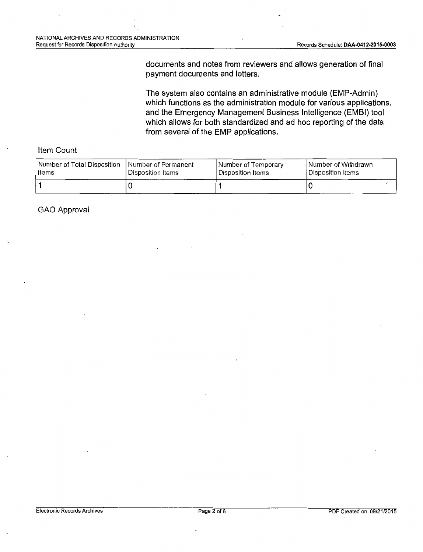documents and notes from reviewers and allows generation of final payment documents and letters.

The system also contains an administrative module (EMP-Admin) which functions as the administration module for various applications, and the Emergency Management Business Intelligence (EMBI) tool which allows for both standardized and ad hoc reporting of the data from several of the EMP applications.

#### Item Count

| Number of Total Disposition | I Number of Permanent | Number of Temporary | l Number of Withdrawn. |
|-----------------------------|-----------------------|---------------------|------------------------|
| ltems                       | Disposition Items     | l Disposition Items | l Disposition Items    |
|                             |                       |                     |                        |

GAO Approval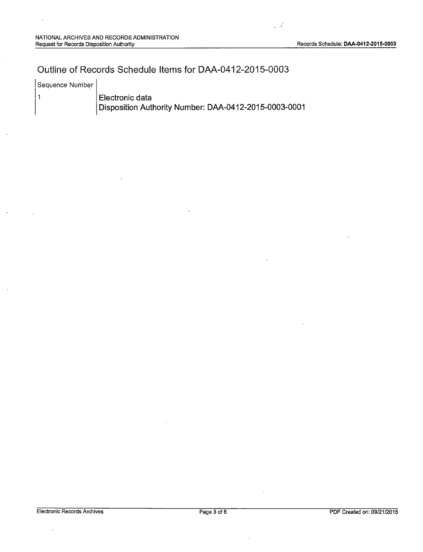$\mathcal{L}$ 

# Outline of Records Schedule Items for DAA-0412-2015-0003

Sequence Number

 $\vert$  1

Electronic data Disposition Authority Number: DAA-0412-2015-0003-0001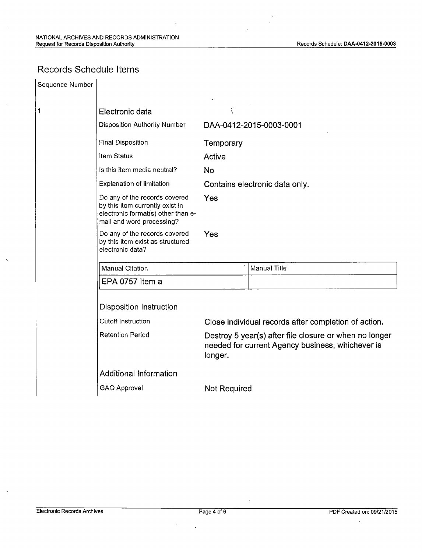# Records Schedule Items

| Sequence Number |                                                                                                                                     |                                                                                                                       |              |  |
|-----------------|-------------------------------------------------------------------------------------------------------------------------------------|-----------------------------------------------------------------------------------------------------------------------|--------------|--|
|                 |                                                                                                                                     |                                                                                                                       |              |  |
| 1               | Electronic data                                                                                                                     | $\langle \cdot$                                                                                                       |              |  |
|                 | <b>Disposition Authority Number</b>                                                                                                 | DAA-0412-2015-0003-0001                                                                                               |              |  |
|                 | <b>Final Disposition</b>                                                                                                            | Temporary                                                                                                             |              |  |
|                 | Item Status                                                                                                                         | Active                                                                                                                |              |  |
|                 | Is this item media neutral?                                                                                                         | <b>No</b>                                                                                                             |              |  |
|                 | <b>Explanation of limitation</b>                                                                                                    | Contains electronic data only.                                                                                        |              |  |
|                 | Do any of the records covered<br>by this item currently exist in<br>electronic format(s) other than e-<br>mail and word processing? | Yes                                                                                                                   |              |  |
|                 | Do any of the records covered<br>by this item exist as structured<br>electronic data?                                               | Yes                                                                                                                   |              |  |
|                 | <b>Manual Citation</b>                                                                                                              |                                                                                                                       | Manual Title |  |
|                 | EPA 0757 Item a                                                                                                                     |                                                                                                                       |              |  |
|                 | <b>Disposition Instruction</b>                                                                                                      |                                                                                                                       |              |  |
|                 | <b>Cutoff Instruction</b>                                                                                                           | Close individual records after completion of action.                                                                  |              |  |
|                 | <b>Retention Period</b>                                                                                                             | Destroy 5 year(s) after file closure or when no longer<br>needed for current Agency business, whichever is<br>longer. |              |  |
|                 | Additional Information                                                                                                              |                                                                                                                       |              |  |
|                 | <b>GAO Approval</b>                                                                                                                 | <b>Not Required</b>                                                                                                   |              |  |

·,\_

 $\overline{\phantom{a}}$ 

 $\ddot{\phantom{0}}$